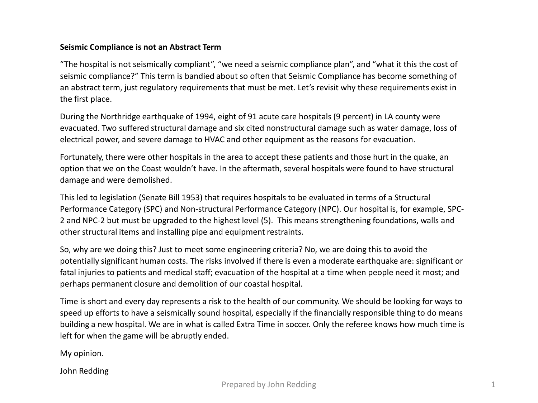## **Seismic Compliance is not an Abstract Term**

"The hospital is not seismically compliant", "we need a seismic compliance plan", and "what it this the cost of seismic compliance?" This term is bandied about so often that Seismic Compliance has become something of an abstract term, just regulatory requirements that must be met. Let's revisit why these requirements exist in the first place.

During the Northridge earthquake of 1994, eight of 91 acute care hospitals (9 percent) in LA county were evacuated. Two suffered structural damage and six cited nonstructural damage such as water damage, loss of electrical power, and severe damage to HVAC and other equipment as the reasons for evacuation.

Fortunately, there were other hospitals in the area to accept these patients and those hurt in the quake, an option that we on the Coast wouldn't have. In the aftermath, several hospitals were found to have structural damage and were demolished.

This led to legislation (Senate Bill 1953) that requires hospitals to be evaluated in terms of a Structural Performance Category (SPC) and Non-structural Performance Category (NPC). Our hospital is, for example, SPC-2 and NPC-2 but must be upgraded to the highest level (5). This means strengthening foundations, walls and other structural items and installing pipe and equipment restraints.

So, why are we doing this? Just to meet some engineering criteria? No, we are doing this to avoid the potentially significant human costs. The risks involved if there is even a moderate earthquake are: significant or fatal injuries to patients and medical staff; evacuation of the hospital at a time when people need it most; and perhaps permanent closure and demolition of our coastal hospital.

Time is short and every day represents a risk to the health of our community. We should be looking for ways to speed up efforts to have a seismically sound hospital, especially if the financially responsible thing to do means building a new hospital. We are in what is called Extra Time in soccer. Only the referee knows how much time is left for when the game will be abruptly ended.

My opinion.

John Redding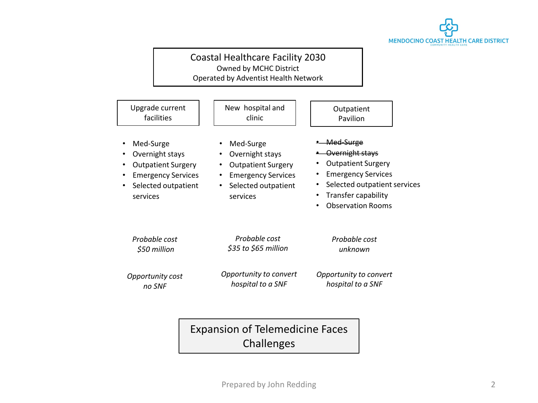

## Coastal Healthcare Facility 2030 Owned by MCHC District Operated by Adventist Health Network

| New hospital and                                                                                                                                                 | Outpatient                                                                                                                                                                                |
|------------------------------------------------------------------------------------------------------------------------------------------------------------------|-------------------------------------------------------------------------------------------------------------------------------------------------------------------------------------------|
| clinic                                                                                                                                                           | Pavilion                                                                                                                                                                                  |
| Med-Surge<br>Overnight stays<br>$\bullet$<br><b>Outpatient Surgery</b><br><b>Emergency Services</b><br>$\bullet$<br>Selected outpatient<br>$\bullet$<br>services | <del>Med-Surge</del><br>Overnight stays<br><b>Outpatient Surgery</b><br><b>Emergency Services</b><br>٠<br>Selected outpatient services<br>Transfer capability<br><b>Observation Rooms</b> |
| Probable cost                                                                                                                                                    | Probable cost                                                                                                                                                                             |
| \$35 to \$65 million                                                                                                                                             | unknown                                                                                                                                                                                   |
| Opportunity to convert                                                                                                                                           | Opportunity to convert                                                                                                                                                                    |
| hospital to a SNF                                                                                                                                                | hospital to a SNF                                                                                                                                                                         |
|                                                                                                                                                                  |                                                                                                                                                                                           |

Expansion of Telemedicine Faces Challenges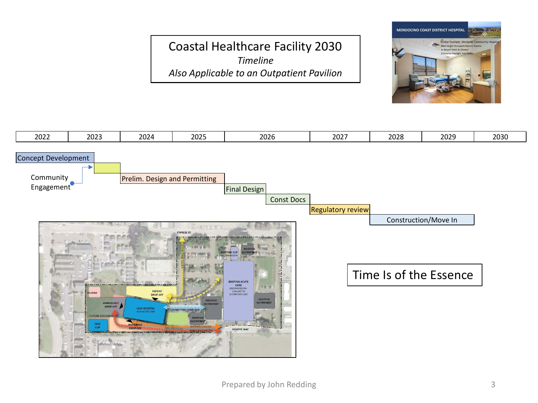## Coastal Healthcare Facility 2030 *Timeline Also Applicable to an Outpatient Pavilion*



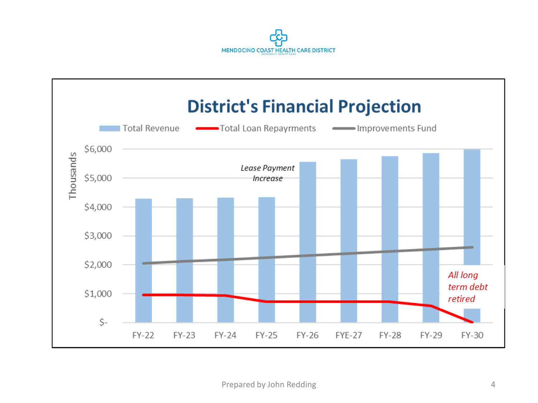

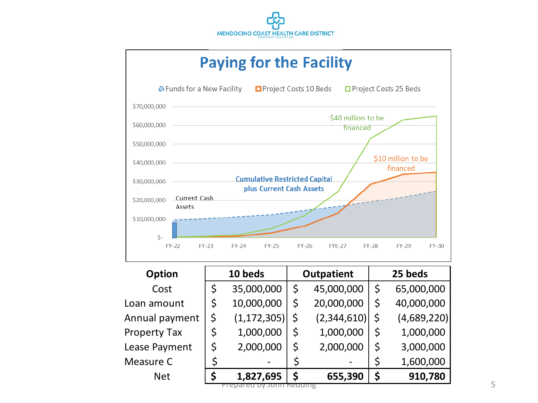